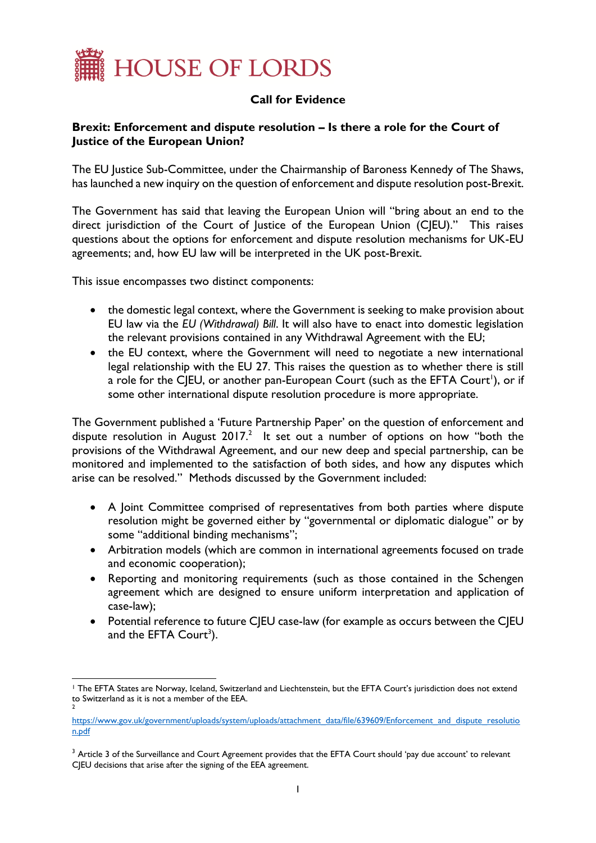

## **Call for Evidence**

## **Brexit: Enforcement and dispute resolution – Is there a role for the Court of Justice of the European Union?**

The EU Justice Sub-Committee, under the Chairmanship of Baroness Kennedy of The Shaws, has launched a new inquiry on the question of enforcement and dispute resolution post-Brexit.

The Government has said that leaving the European Union will "bring about an end to the direct jurisdiction of the Court of Justice of the European Union (CJEU)." This raises questions about the options for enforcement and dispute resolution mechanisms for UK-EU agreements; and, how EU law will be interpreted in the UK post-Brexit.

This issue encompasses two distinct components:

- the domestic legal context, where the Government is seeking to make provision about EU law via the *EU (Withdrawal) Bill*. It will also have to enact into domestic legislation the relevant provisions contained in any Withdrawal Agreement with the EU;
- the EU context, where the Government will need to negotiate a new international legal relationship with the EU 27. This raises the question as to whether there is still a role for the CJEU, or another pan-European Court (such as the EFTA Court<sup>1</sup>), or if some other international dispute resolution procedure is more appropriate.

The Government published a 'Future Partnership Paper' on the question of enforcement and dispute resolution in August 2017.<sup>2</sup> It set out a number of options on how "both the provisions of the Withdrawal Agreement, and our new deep and special partnership, can be monitored and implemented to the satisfaction of both sides, and how any disputes which arise can be resolved." Methods discussed by the Government included:

- A Joint Committee comprised of representatives from both parties where dispute resolution might be governed either by "governmental or diplomatic dialogue" or by some "additional binding mechanisms";
- Arbitration models (which are common in international agreements focused on trade and economic cooperation);
- Reporting and monitoring requirements (such as those contained in the Schengen agreement which are designed to ensure uniform interpretation and application of case-law);
- Potential reference to future CJEU case-law (for example as occurs between the CJEU and the  $EFTA$  Court<sup>3</sup>).

**<sup>.</sup>** <sup>1</sup> The EFTA States are Norway, Iceland, Switzerland and Liechtenstein, but the EFTA Court's jurisdiction does not extend to Switzerland as it is not a member of the EEA. 2

[https://www.gov.uk/government/uploads/system/uploads/attachment\\_data/file/639609/Enforcement\\_and\\_dispute\\_resolutio](https://www.gov.uk/government/uploads/system/uploads/attachment_data/file/639609/Enforcement_and_dispute_resolution.pdf) [n.pdf](https://www.gov.uk/government/uploads/system/uploads/attachment_data/file/639609/Enforcement_and_dispute_resolution.pdf)

<sup>&</sup>lt;sup>3</sup> Article 3 of the Surveillance and Court Agreement provides that the EFTA Court should 'pay due account' to relevant CJEU decisions that arise after the signing of the EEA agreement.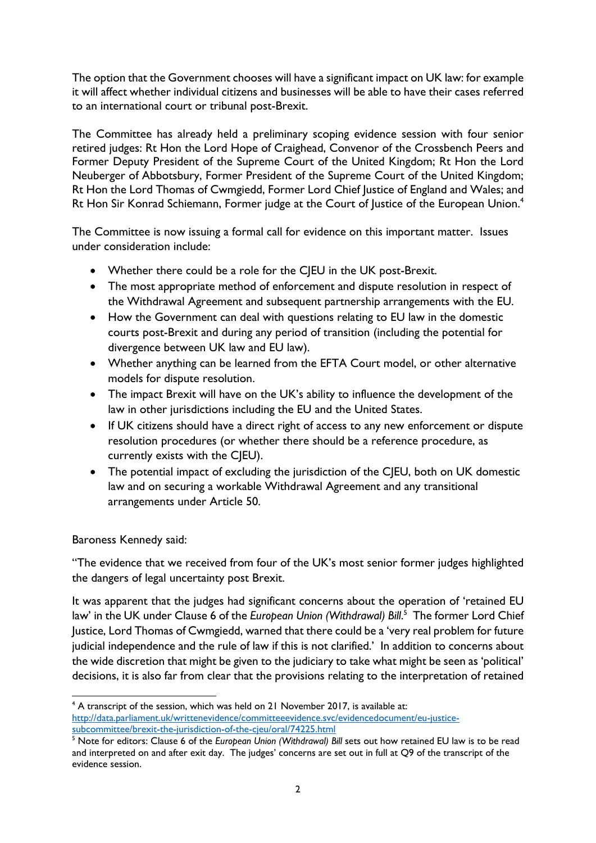The option that the Government chooses will have a significant impact on UK law: for example it will affect whether individual citizens and businesses will be able to have their cases referred to an international court or tribunal post-Brexit.

The Committee has already held a preliminary scoping evidence session with four senior retired judges: Rt Hon the Lord Hope of Craighead, Convenor of the Crossbench Peers and Former Deputy President of the Supreme Court of the United Kingdom; Rt Hon the Lord Neuberger of Abbotsbury, Former President of the Supreme Court of the United Kingdom; Rt Hon the Lord Thomas of Cwmgiedd, Former Lord Chief Justice of England and Wales; and Rt Hon Sir Konrad Schiemann, Former judge at the Court of Justice of the European Union.<sup>4</sup>

The Committee is now issuing a formal call for evidence on this important matter. Issues under consideration include:

- Whether there could be a role for the CJEU in the UK post-Brexit.
- The most appropriate method of enforcement and dispute resolution in respect of the Withdrawal Agreement and subsequent partnership arrangements with the EU.
- How the Government can deal with questions relating to EU law in the domestic courts post-Brexit and during any period of transition (including the potential for divergence between UK law and EU law).
- Whether anything can be learned from the EFTA Court model, or other alternative models for dispute resolution.
- The impact Brexit will have on the UK's ability to influence the development of the law in other jurisdictions including the EU and the United States.
- If UK citizens should have a direct right of access to any new enforcement or dispute resolution procedures (or whether there should be a reference procedure, as currently exists with the CJEU).
- The potential impact of excluding the jurisdiction of the CIEU, both on UK domestic law and on securing a workable Withdrawal Agreement and any transitional arrangements under Article 50.

## Baroness Kennedy said:

"The evidence that we received from four of the UK's most senior former judges highlighted the dangers of legal uncertainty post Brexit.

It was apparent that the judges had significant concerns about the operation of 'retained EU law' in the UK under Clause 6 of the *European Union (Withdrawal) Bill*.<sup>5</sup> The former Lord Chief Justice, Lord Thomas of Cwmgiedd, warned that there could be a 'very real problem for future judicial independence and the rule of law if this is not clarified.' In addition to concerns about the wide discretion that might be given to the judiciary to take what might be seen as 'political' decisions, it is also far from clear that the provisions relating to the interpretation of retained

**<sup>.</sup>**  $4$  A transcript of the session, which was held on 21 November 2017, is available at: [http://data.parliament.uk/writtenevidence/committeeevidence.svc/evidencedocument/eu-justice](http://data.parliament.uk/writtenevidence/committeeevidence.svc/evidencedocument/eu-justice-subcommittee/brexit-the-jurisdiction-of-the-cjeu/oral/74225.html)[subcommittee/brexit-the-jurisdiction-of-the-cjeu/oral/74225.html](http://data.parliament.uk/writtenevidence/committeeevidence.svc/evidencedocument/eu-justice-subcommittee/brexit-the-jurisdiction-of-the-cjeu/oral/74225.html)

<sup>&</sup>lt;sup>5</sup> Note for editors: Clause 6 of the *European Union (Withdrawal) Bill* sets out how retained EU law is to be read and interpreted on and after exit day. The judges' concerns are set out in full at Q9 of the transcript of the evidence session.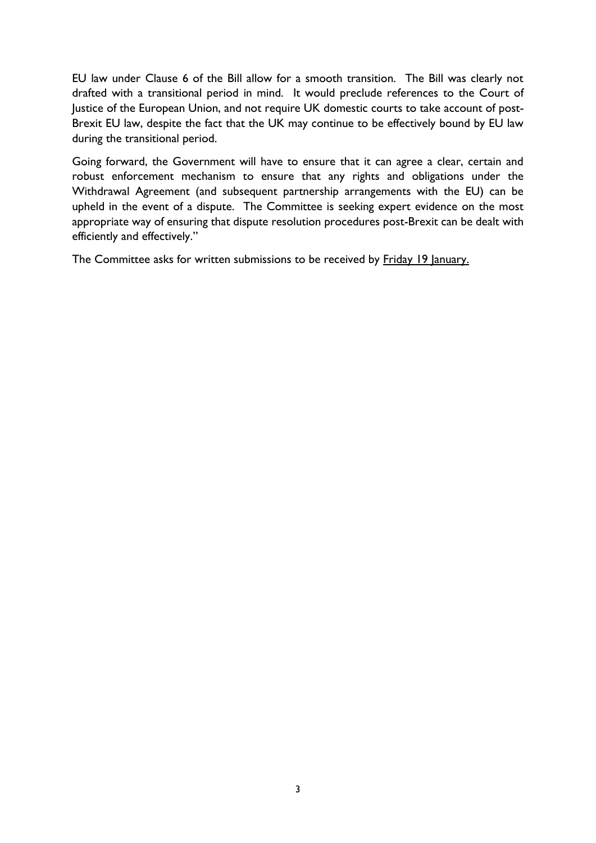EU law under Clause 6 of the Bill allow for a smooth transition. The Bill was clearly not drafted with a transitional period in mind. It would preclude references to the Court of Justice of the European Union, and not require UK domestic courts to take account of post-Brexit EU law, despite the fact that the UK may continue to be effectively bound by EU law during the transitional period.

Going forward, the Government will have to ensure that it can agree a clear, certain and robust enforcement mechanism to ensure that any rights and obligations under the Withdrawal Agreement (and subsequent partnership arrangements with the EU) can be upheld in the event of a dispute. The Committee is seeking expert evidence on the most appropriate way of ensuring that dispute resolution procedures post-Brexit can be dealt with efficiently and effectively."

The Committee asks for written submissions to be received by Friday 19 January.